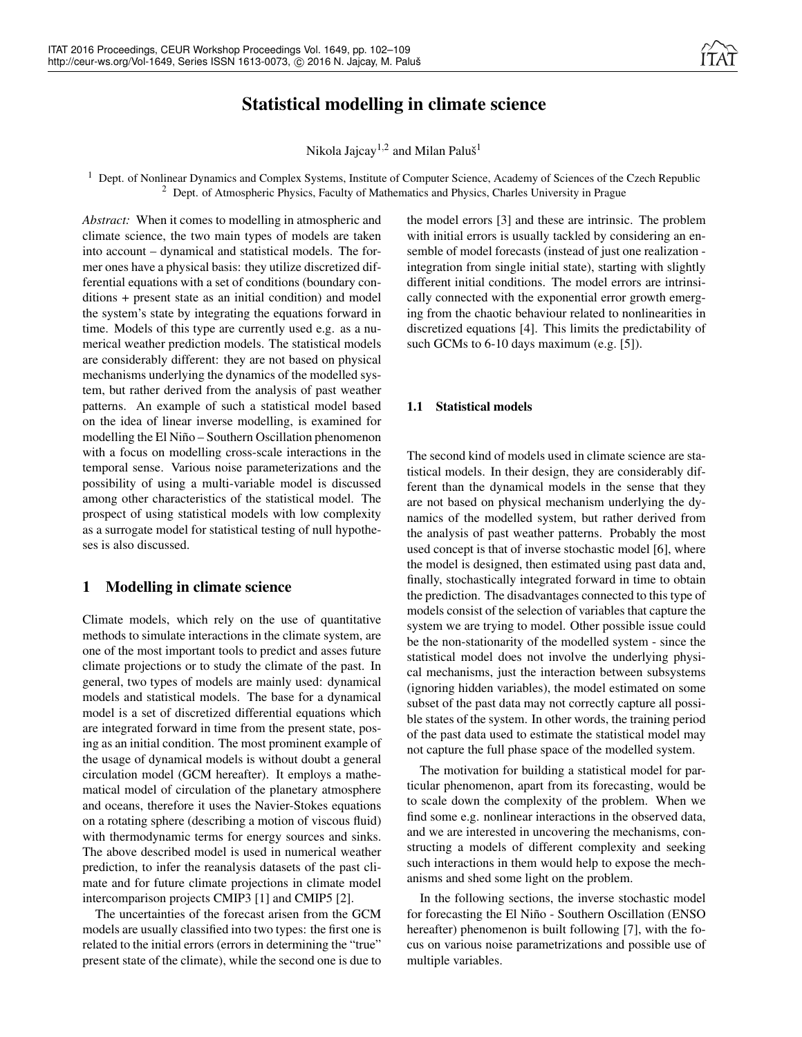# Statistical modelling in climate science

Nikola Jajcay $^{1,2}$  and Milan Paluš $^1$ 

<sup>1</sup> Dept. of Nonlinear Dynamics and Complex Systems, Institute of Computer Science, Academy of Sciences of the Czech Republic <sup>2</sup> Dept. of Atmospheric Physics, Faculty of Mathematics and Physics, Charles University in Prague

*Abstract:* When it comes to modelling in atmospheric and climate science, the two main types of models are taken into account – dynamical and statistical models. The former ones have a physical basis: they utilize discretized differential equations with a set of conditions (boundary conditions + present state as an initial condition) and model the system's state by integrating the equations forward in time. Models of this type are currently used e.g. as a numerical weather prediction models. The statistical models are considerably different: they are not based on physical mechanisms underlying the dynamics of the modelled system, but rather derived from the analysis of past weather patterns. An example of such a statistical model based on the idea of linear inverse modelling, is examined for modelling the El Niño – Southern Oscillation phenomenon with a focus on modelling cross-scale interactions in the temporal sense. Various noise parameterizations and the possibility of using a multi-variable model is discussed among other characteristics of the statistical model. The prospect of using statistical models with low complexity as a surrogate model for statistical testing of null hypotheses is also discussed.

## 1 Modelling in climate science

Climate models, which rely on the use of quantitative methods to simulate interactions in the climate system, are one of the most important tools to predict and asses future climate projections or to study the climate of the past. In general, two types of models are mainly used: dynamical models and statistical models. The base for a dynamical model is a set of discretized differential equations which are integrated forward in time from the present state, posing as an initial condition. The most prominent example of the usage of dynamical models is without doubt a general circulation model (GCM hereafter). It employs a mathematical model of circulation of the planetary atmosphere and oceans, therefore it uses the Navier-Stokes equations on a rotating sphere (describing a motion of viscous fluid) with thermodynamic terms for energy sources and sinks. The above described model is used in numerical weather prediction, to infer the reanalysis datasets of the past climate and for future climate projections in climate model intercomparison projects CMIP3 [1] and CMIP5 [2].

The uncertainties of the forecast arisen from the GCM models are usually classified into two types: the first one is related to the initial errors (errors in determining the "true" present state of the climate), while the second one is due to

the model errors [3] and these are intrinsic. The problem with initial errors is usually tackled by considering an ensemble of model forecasts (instead of just one realization integration from single initial state), starting with slightly different initial conditions. The model errors are intrinsically connected with the exponential error growth emerging from the chaotic behaviour related to nonlinearities in discretized equations [4]. This limits the predictability of such GCMs to 6-10 days maximum (e.g. [5]).

#### 1.1 Statistical models

The second kind of models used in climate science are statistical models. In their design, they are considerably different than the dynamical models in the sense that they are not based on physical mechanism underlying the dynamics of the modelled system, but rather derived from the analysis of past weather patterns. Probably the most used concept is that of inverse stochastic model [6], where the model is designed, then estimated using past data and, finally, stochastically integrated forward in time to obtain the prediction. The disadvantages connected to this type of models consist of the selection of variables that capture the system we are trying to model. Other possible issue could be the non-stationarity of the modelled system - since the statistical model does not involve the underlying physical mechanisms, just the interaction between subsystems (ignoring hidden variables), the model estimated on some subset of the past data may not correctly capture all possible states of the system. In other words, the training period of the past data used to estimate the statistical model may not capture the full phase space of the modelled system.

The motivation for building a statistical model for particular phenomenon, apart from its forecasting, would be to scale down the complexity of the problem. When we find some e.g. nonlinear interactions in the observed data, and we are interested in uncovering the mechanisms, constructing a models of different complexity and seeking such interactions in them would help to expose the mechanisms and shed some light on the problem.

In the following sections, the inverse stochastic model for forecasting the El Niño - Southern Oscillation (ENSO hereafter) phenomenon is built following [7], with the focus on various noise parametrizations and possible use of multiple variables.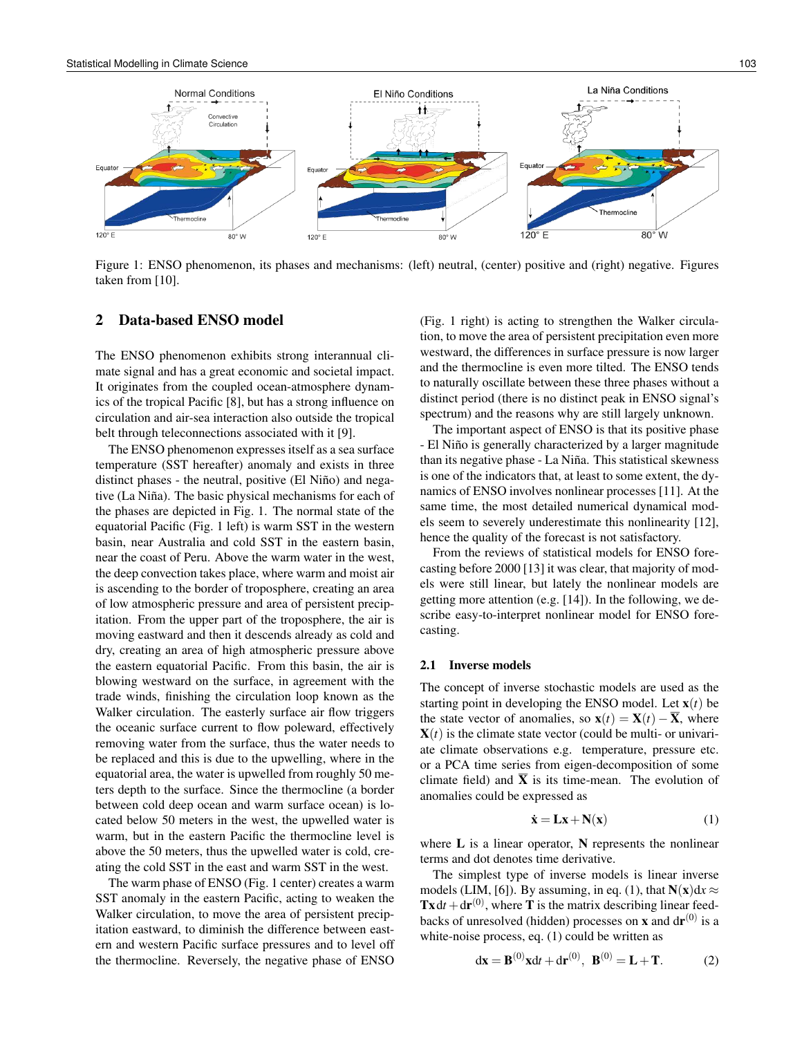

Figure 1: ENSO phenomenon, its phases and mechanisms: (left) neutral, (center) positive and (right) negative. Figures taken from [10].

## 2 Data-based ENSO model

The ENSO phenomenon exhibits strong interannual climate signal and has a great economic and societal impact. It originates from the coupled ocean-atmosphere dynamics of the tropical Pacific [8], but has a strong influence on circulation and air-sea interaction also outside the tropical belt through teleconnections associated with it [9].

The ENSO phenomenon expresses itself as a sea surface temperature (SST hereafter) anomaly and exists in three distinct phases - the neutral, positive (El Niño) and negative (La Niña). The basic physical mechanisms for each of the phases are depicted in Fig. 1. The normal state of the equatorial Pacific (Fig. 1 left) is warm SST in the western basin, near Australia and cold SST in the eastern basin, near the coast of Peru. Above the warm water in the west, the deep convection takes place, where warm and moist air is ascending to the border of troposphere, creating an area of low atmospheric pressure and area of persistent precipitation. From the upper part of the troposphere, the air is moving eastward and then it descends already as cold and dry, creating an area of high atmospheric pressure above the eastern equatorial Pacific. From this basin, the air is blowing westward on the surface, in agreement with the trade winds, finishing the circulation loop known as the Walker circulation. The easterly surface air flow triggers the oceanic surface current to flow poleward, effectively removing water from the surface, thus the water needs to be replaced and this is due to the upwelling, where in the equatorial area, the water is upwelled from roughly 50 meters depth to the surface. Since the thermocline (a border between cold deep ocean and warm surface ocean) is located below 50 meters in the west, the upwelled water is warm, but in the eastern Pacific the thermocline level is above the 50 meters, thus the upwelled water is cold, creating the cold SST in the east and warm SST in the west.

The warm phase of ENSO (Fig. 1 center) creates a warm SST anomaly in the eastern Pacific, acting to weaken the Walker circulation, to move the area of persistent precipitation eastward, to diminish the difference between eastern and western Pacific surface pressures and to level off the thermocline. Reversely, the negative phase of ENSO (Fig. 1 right) is acting to strengthen the Walker circulation, to move the area of persistent precipitation even more westward, the differences in surface pressure is now larger and the thermocline is even more tilted. The ENSO tends to naturally oscillate between these three phases without a distinct period (there is no distinct peak in ENSO signal's spectrum) and the reasons why are still largely unknown.

The important aspect of ENSO is that its positive phase - El Niño is generally characterized by a larger magnitude than its negative phase - La Niña. This statistical skewness is one of the indicators that, at least to some extent, the dynamics of ENSO involves nonlinear processes [11]. At the same time, the most detailed numerical dynamical models seem to severely underestimate this nonlinearity [12], hence the quality of the forecast is not satisfactory.

From the reviews of statistical models for ENSO forecasting before 2000 [13] it was clear, that majority of models were still linear, but lately the nonlinear models are getting more attention (e.g. [14]). In the following, we describe easy-to-interpret nonlinear model for ENSO forecasting.

#### 2.1 Inverse models

The concept of inverse stochastic models are used as the starting point in developing the ENSO model. Let  $\mathbf{x}(t)$  be the state vector of anomalies, so  $\mathbf{x}(t) = \mathbf{X}(t) - \overline{\mathbf{X}}$ , where  **is the climate state vector (could be multi- or univari**ate climate observations e.g. temperature, pressure etc. or a PCA time series from eigen-decomposition of some climate field) and  $\overline{X}$  is its time-mean. The evolution of anomalies could be expressed as

$$
\dot{\mathbf{x}} = \mathbf{L}\mathbf{x} + \mathbf{N}(\mathbf{x}) \tag{1}
$$

where  $L$  is a linear operator,  $N$  represents the nonlinear terms and dot denotes time derivative.

The simplest type of inverse models is linear inverse models (LIM, [6]). By assuming, in eq. (1), that  $N(x)dx \approx$  $\text{Tx} dt + dr^{(0)}$ , where **T** is the matrix describing linear feedbacks of unresolved (hidden) processes on **x** and  $d\mathbf{r}^{(0)}$  is a white-noise process, eq. (1) could be written as

$$
dx = B^{(0)}xdt + dr^{(0)}, B^{(0)} = L + T.
$$
 (2)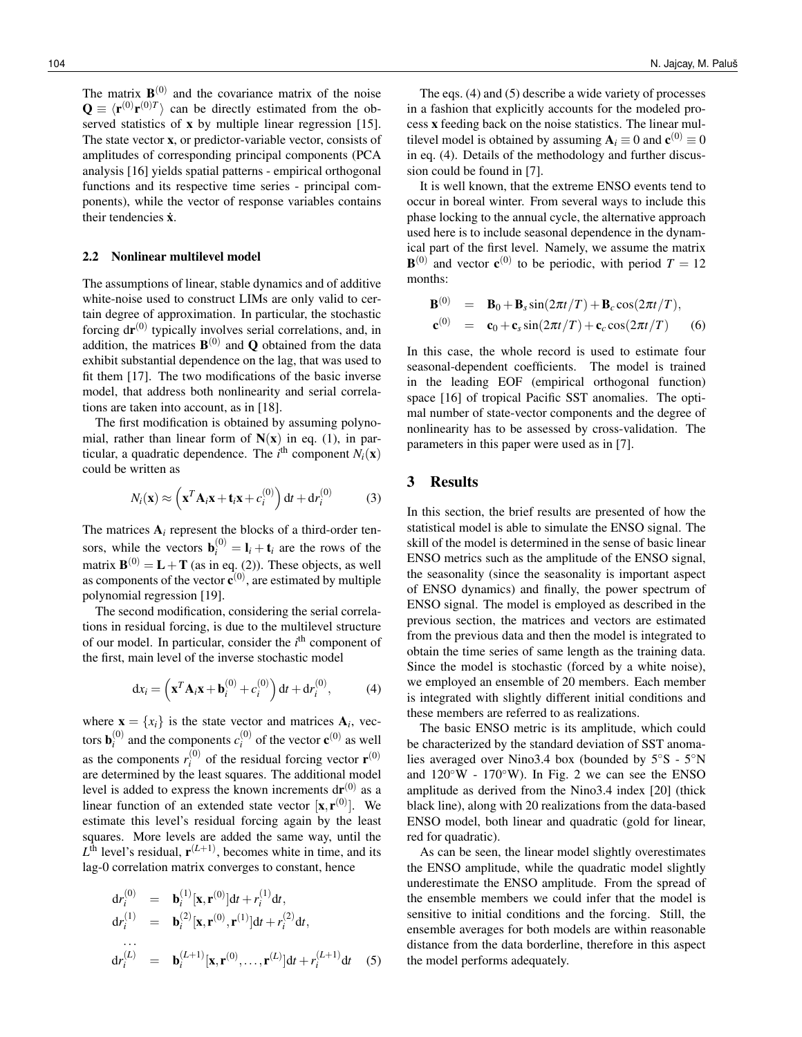The matrix  $\mathbf{B}^{(0)}$  and the covariance matrix of the noise  $\mathbf{Q} \equiv \langle \mathbf{r}^{(0)} \mathbf{r}^{(0)T} \rangle$  can be directly estimated from the observed statistics of **x** by multiple linear regression [15]. The state vector x, or predictor-variable vector, consists of amplitudes of corresponding principal components (PCA analysis [16] yields spatial patterns - empirical orthogonal functions and its respective time series - principal components), while the vector of response variables contains their tendencies  $\dot{x}$ .

#### 2.2 Nonlinear multilevel model

The assumptions of linear, stable dynamics and of additive white-noise used to construct LIMs are only valid to certain degree of approximation. In particular, the stochastic forcing  $dr^{(0)}$  typically involves serial correlations, and, in addition, the matrices  $\mathbf{B}^{(0)}$  and Q obtained from the data exhibit substantial dependence on the lag, that was used to fit them [17]. The two modifications of the basic inverse model, that address both nonlinearity and serial correlations are taken into account, as in [18].

The first modification is obtained by assuming polynomial, rather than linear form of  $N(x)$  in eq. (1), in particular, a quadratic dependence. The  $i^{\text{th}}$  component  $N_i(\mathbf{x})$ could be written as

$$
N_i(\mathbf{x}) \approx \left(\mathbf{x}^T \mathbf{A}_i \mathbf{x} + \mathbf{t}_i \mathbf{x} + c_i^{(0)}\right) dt + dr_i^{(0)}
$$
(3)

The matrices  $A_i$  represent the blocks of a third-order tensors, while the vectors  $\mathbf{b}_i^{(0)} = \mathbf{l}_i + \mathbf{t}_i$  are the rows of the matrix  $\mathbf{B}^{(0)} = \mathbf{L} + \mathbf{T}$  (as in eq. (2)). These objects, as well as components of the vector  $\mathbf{c}^{(0)}$ , are estimated by multiple polynomial regression [19].

The second modification, considering the serial correlations in residual forcing, is due to the multilevel structure of our model. In particular, consider the *i*<sup>th</sup> component of the first, main level of the inverse stochastic model

$$
\mathrm{d}x_i = \left(\mathbf{x}^T \mathbf{A}_i \mathbf{x} + \mathbf{b}_i^{(0)} + c_i^{(0)}\right) \mathrm{d}t + \mathrm{d}r_i^{(0)},\tag{4}
$$

where  $\mathbf{x} = \{x_i\}$  is the state vector and matrices  $\mathbf{A}_i$ , vectors  $\mathbf{b}_i^{(0)}$  and the components  $c_i^{(0)}$  of the vector  $\mathbf{c}^{(0)}$  as well as the components  $r_i^{(0)}$  of the residual forcing vector  $\mathbf{r}^{(0)}$ are determined by the least squares. The additional model level is added to express the known increments  $dr^{(0)}$  as a linear function of an extended state vector  $[\mathbf{x}, \mathbf{r}^{(0)}]$ . We estimate this level's residual forcing again by the least squares. More levels are added the same way, until the  $L<sup>th</sup>$  level's residual,  $\mathbf{r}^{(L+1)}$ , becomes white in time, and its lag-0 correlation matrix converges to constant, hence

$$
dr_i^{(0)} = \mathbf{b}_i^{(1)}[\mathbf{x}, \mathbf{r}^{(0)}]dt + r_i^{(1)}dt,
$$
  
\n
$$
dr_i^{(1)} = \mathbf{b}_i^{(2)}[\mathbf{x}, \mathbf{r}^{(0)}, \mathbf{r}^{(1)}]dt + r_i^{(2)}dt,
$$
  
\n...  
\n
$$
dr_i^{(L)} = \mathbf{b}_i^{(L+1)}[\mathbf{x}, \mathbf{r}^{(0)}, \dots, \mathbf{r}^{(L)}]dt + r_i^{(L+1)}dt
$$
 (5)

The eqs. (4) and (5) describe a wide variety of processes in a fashion that explicitly accounts for the modeled process x feeding back on the noise statistics. The linear multilevel model is obtained by assuming  $A_i \equiv 0$  and  $c^{(0)} \equiv 0$ in eq. (4). Details of the methodology and further discussion could be found in [7].

It is well known, that the extreme ENSO events tend to occur in boreal winter. From several ways to include this phase locking to the annual cycle, the alternative approach used here is to include seasonal dependence in the dynamical part of the first level. Namely, we assume the matrix  $\mathbf{B}^{(0)}$  and vector  $\mathbf{c}^{(0)}$  to be periodic, with period  $T = 12$ months:

$$
\mathbf{B}^{(0)} = \mathbf{B}_0 + \mathbf{B}_s \sin(2\pi t/T) + \mathbf{B}_c \cos(2\pi t/T),
$$
  

$$
\mathbf{c}^{(0)} = \mathbf{c}_0 + \mathbf{c}_s \sin(2\pi t/T) + \mathbf{c}_c \cos(2\pi t/T) \qquad (6)
$$

In this case, the whole record is used to estimate four seasonal-dependent coefficients. The model is trained in the leading EOF (empirical orthogonal function) space [16] of tropical Pacific SST anomalies. The optimal number of state-vector components and the degree of nonlinearity has to be assessed by cross-validation. The parameters in this paper were used as in [7].

## 3 Results

In this section, the brief results are presented of how the statistical model is able to simulate the ENSO signal. The skill of the model is determined in the sense of basic linear ENSO metrics such as the amplitude of the ENSO signal, the seasonality (since the seasonality is important aspect of ENSO dynamics) and finally, the power spectrum of ENSO signal. The model is employed as described in the previous section, the matrices and vectors are estimated from the previous data and then the model is integrated to obtain the time series of same length as the training data. Since the model is stochastic (forced by a white noise), we employed an ensemble of 20 members. Each member is integrated with slightly different initial conditions and these members are referred to as realizations.

The basic ENSO metric is its amplitude, which could be characterized by the standard deviation of SST anomalies averaged over Nino3.4 box (bounded by 5◦S - 5◦N and  $120°W - 170°W$ ). In Fig. 2 we can see the ENSO amplitude as derived from the Nino3.4 index [20] (thick black line), along with 20 realizations from the data-based ENSO model, both linear and quadratic (gold for linear, red for quadratic).

As can be seen, the linear model slightly overestimates the ENSO amplitude, while the quadratic model slightly underestimate the ENSO amplitude. From the spread of the ensemble members we could infer that the model is sensitive to initial conditions and the forcing. Still, the ensemble averages for both models are within reasonable distance from the data borderline, therefore in this aspect the model performs adequately.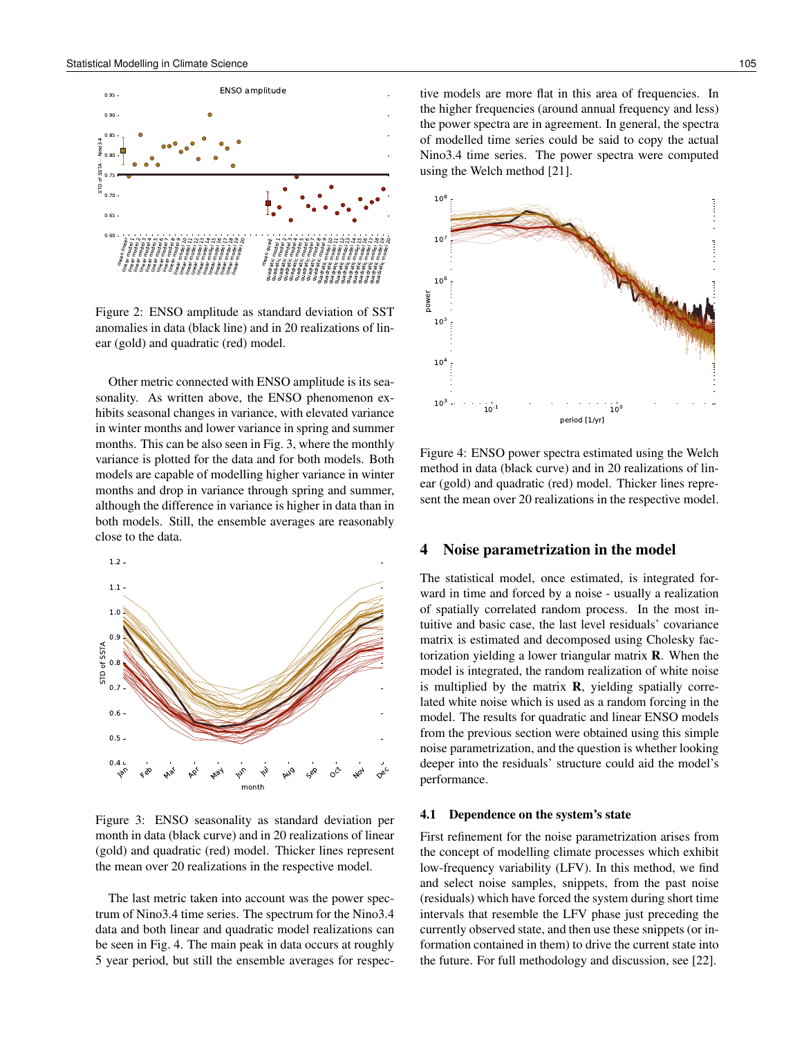

Figure 2: ENSO amplitude as standard deviation of SST anomalies in data (black line) and in 20 realizations of linear (gold) and quadratic (red) model.

Other metric connected with ENSO amplitude is its seasonality. As written above, the ENSO phenomenon exhibits seasonal changes in variance, with elevated variance in winter months and lower variance in spring and summer months. This can be also seen in Fig. 3, where the monthly variance is plotted for the data and for both models. Both models are capable of modelling higher variance in winter months and drop in variance through spring and summer, although the difference in variance is higher in data than in both models. Still, the ensemble averages are reasonably close to the data.



Figure 3: ENSO seasonality as standard deviation per month in data (black curve) and in 20 realizations of linear (gold) and quadratic (red) model. Thicker lines represent the mean over 20 realizations in the respective model.

The last metric taken into account was the power spectrum of Nino3.4 time series. The spectrum for the Nino3.4 data and both linear and quadratic model realizations can be seen in Fig. 4. The main peak in data occurs at roughly 5 year period, but still the ensemble averages for respective models are more flat in this area of frequencies. In the higher frequencies (around annual frequency and less) the power spectra are in agreement. In general, the spectra of modelled time series could be said to copy the actual Nino3.4 time series. The power spectra were computed using the Welch method [21].



Figure 4: ENSO power spectra estimated using the Welch method in data (black curve) and in 20 realizations of linear (gold) and quadratic (red) model. Thicker lines represent the mean over 20 realizations in the respective model.

#### 4 Noise parametrization in the model

The statistical model, once estimated, is integrated forward in time and forced by a noise - usually a realization of spatially correlated random process. In the most intuitive and basic case, the last level residuals' covariance matrix is estimated and decomposed using Cholesky factorization yielding a lower triangular matrix R. When the model is integrated, the random realization of white noise is multiplied by the matrix  $\bf{R}$ , yielding spatially correlated white noise which is used as a random forcing in the model. The results for quadratic and linear ENSO models from the previous section were obtained using this simple noise parametrization, and the question is whether looking deeper into the residuals' structure could aid the model's performance.

#### 4.1 Dependence on the system's state

First refinement for the noise parametrization arises from the concept of modelling climate processes which exhibit low-frequency variability (LFV). In this method, we find and select noise samples, snippets, from the past noise (residuals) which have forced the system during short time intervals that resemble the LFV phase just preceding the currently observed state, and then use these snippets (or information contained in them) to drive the current state into the future. For full methodology and discussion, see [22].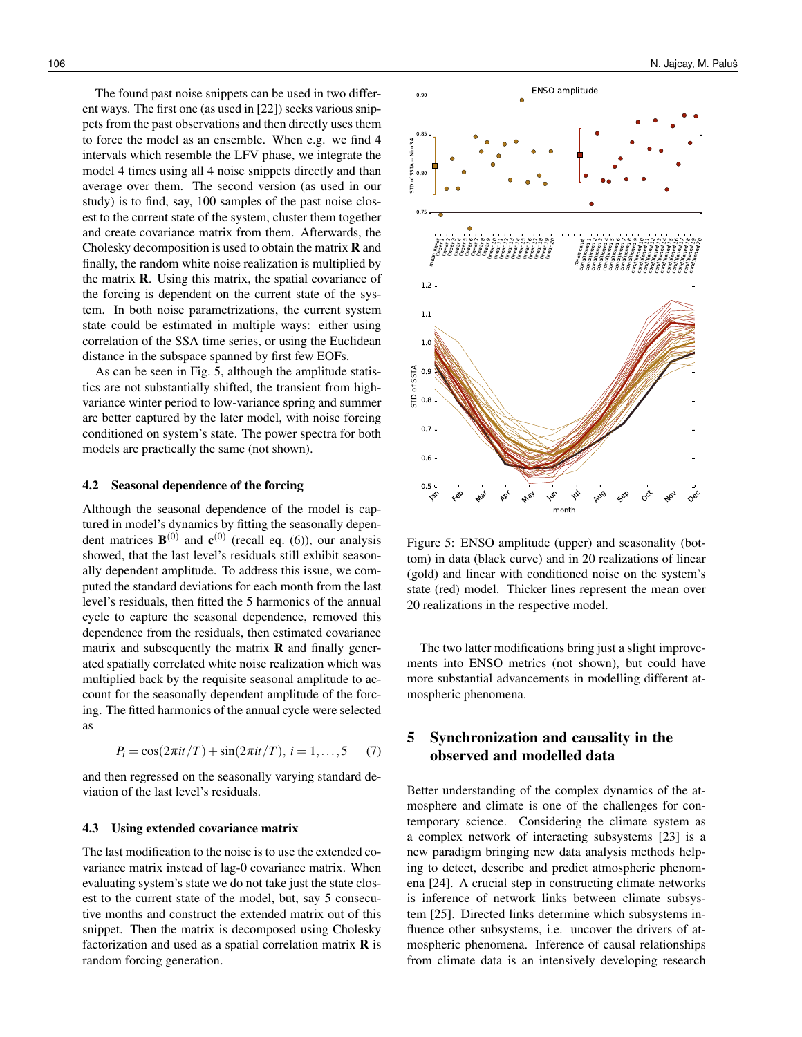The found past noise snippets can be used in two different ways. The first one (as used in [22]) seeks various snippets from the past observations and then directly uses them to force the model as an ensemble. When e.g. we find 4 intervals which resemble the LFV phase, we integrate the model 4 times using all 4 noise snippets directly and than average over them. The second version (as used in our study) is to find, say, 100 samples of the past noise closest to the current state of the system, cluster them together and create covariance matrix from them. Afterwards, the Cholesky decomposition is used to obtain the matrix  **and** finally, the random white noise realization is multiplied by the matrix R. Using this matrix, the spatial covariance of the forcing is dependent on the current state of the system. In both noise parametrizations, the current system state could be estimated in multiple ways: either using correlation of the SSA time series, or using the Euclidean distance in the subspace spanned by first few EOFs.

As can be seen in Fig. 5, although the amplitude statistics are not substantially shifted, the transient from highvariance winter period to low-variance spring and summer are better captured by the later model, with noise forcing conditioned on system's state. The power spectra for both models are practically the same (not shown).

#### 4.2 Seasonal dependence of the forcing

Although the seasonal dependence of the model is captured in model's dynamics by fitting the seasonally dependent matrices  $\mathbf{B}^{(0)}$  and  $\mathbf{c}^{(0)}$  (recall eq. (6)), our analysis showed, that the last level's residuals still exhibit seasonally dependent amplitude. To address this issue, we computed the standard deviations for each month from the last level's residuals, then fitted the 5 harmonics of the annual cycle to capture the seasonal dependence, removed this dependence from the residuals, then estimated covariance matrix and subsequently the matrix  **and finally gener**ated spatially correlated white noise realization which was multiplied back by the requisite seasonal amplitude to account for the seasonally dependent amplitude of the forcing. The fitted harmonics of the annual cycle were selected as

$$
P_i = \cos(2\pi i t/T) + \sin(2\pi i t/T), i = 1,...,5
$$
 (7)

and then regressed on the seasonally varying standard deviation of the last level's residuals.

#### 4.3 Using extended covariance matrix

The last modification to the noise is to use the extended covariance matrix instead of lag-0 covariance matrix. When evaluating system's state we do not take just the state closest to the current state of the model, but, say 5 consecutive months and construct the extended matrix out of this snippet. Then the matrix is decomposed using Cholesky factorization and used as a spatial correlation matrix  **is** random forcing generation.



Figure 5: ENSO amplitude (upper) and seasonality (bottom) in data (black curve) and in 20 realizations of linear (gold) and linear with conditioned noise on the system's state (red) model. Thicker lines represent the mean over 20 realizations in the respective model.

The two latter modifications bring just a slight improvements into ENSO metrics (not shown), but could have more substantial advancements in modelling different atmospheric phenomena.

## 5 Synchronization and causality in the observed and modelled data

Better understanding of the complex dynamics of the atmosphere and climate is one of the challenges for contemporary science. Considering the climate system as a complex network of interacting subsystems [23] is a new paradigm bringing new data analysis methods helping to detect, describe and predict atmospheric phenomena [24]. A crucial step in constructing climate networks is inference of network links between climate subsystem [25]. Directed links determine which subsystems influence other subsystems, i.e. uncover the drivers of atmospheric phenomena. Inference of causal relationships from climate data is an intensively developing research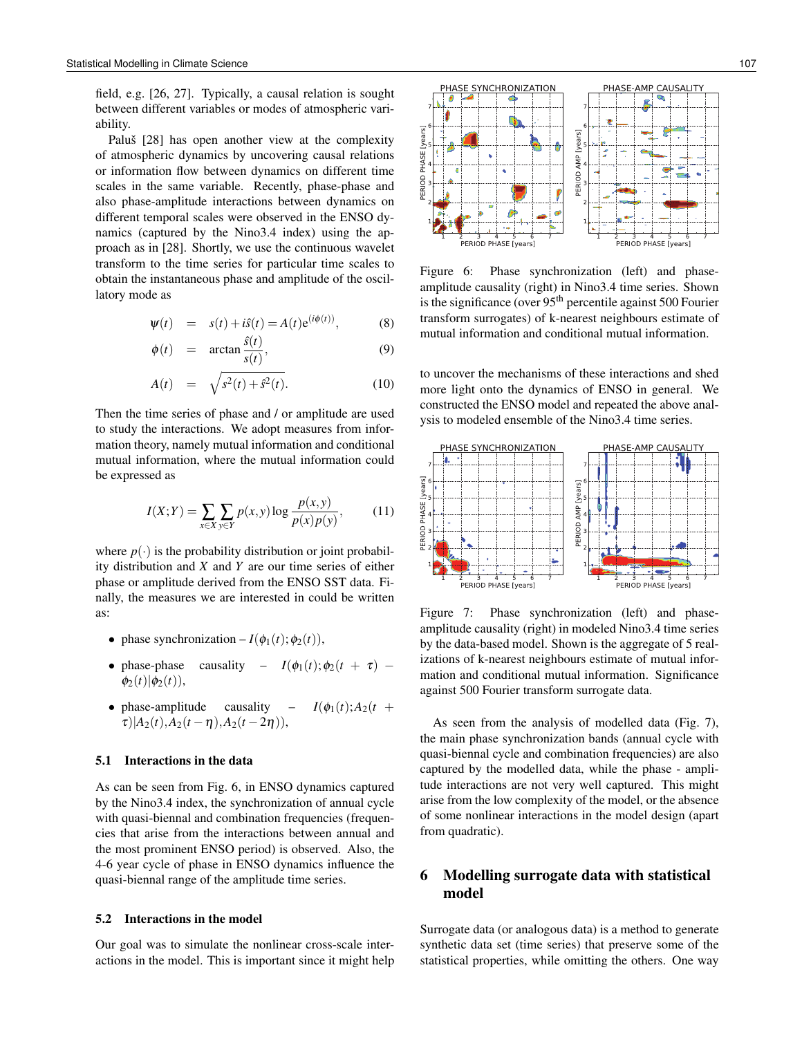field, e.g. [26, 27]. Typically, a causal relation is sought between different variables or modes of atmospheric variability.

Paluš [28] has open another view at the complexity of atmospheric dynamics by uncovering causal relations or information flow between dynamics on different time scales in the same variable. Recently, phase-phase and also phase-amplitude interactions between dynamics on different temporal scales were observed in the ENSO dynamics (captured by the Nino3.4 index) using the approach as in [28]. Shortly, we use the continuous wavelet transform to the time series for particular time scales to obtain the instantaneous phase and amplitude of the oscillatory mode as

$$
\Psi(t) = s(t) + i\hat{s}(t) = A(t)e^{(i\phi(t))}, \tag{8}
$$

$$
\phi(t) = \arctan \frac{s(t)}{s(t)}, \tag{9}
$$

$$
A(t) = \sqrt{s^2(t) + \hat{s}^2(t)}.
$$
 (10)

Then the time series of phase and / or amplitude are used to study the interactions. We adopt measures from information theory, namely mutual information and conditional mutual information, where the mutual information could be expressed as

$$
I(X;Y) = \sum_{x \in X} \sum_{y \in Y} p(x,y) \log \frac{p(x,y)}{p(x)p(y)},
$$
 (11)

where  $p(\cdot)$  is the probability distribution or joint probability distribution and *X* and *Y* are our time series of either phase or amplitude derived from the ENSO SST data. Finally, the measures we are interested in could be written as:

- phase synchronization  $-I(\phi_1(t); \phi_2(t)),$
- phase-phase causality  $I(\phi_1(t); \phi_2(t + \tau)$   $φ_2(t)|φ_2(t)$ ),
- phase-amplitude causality  $I(\phi_1(t); A_2(t +$  $\tau$ )| $A_2(t)$ , $A_2(t-\eta)$ , $A_2(t-2\eta)$ ),

#### 5.1 Interactions in the data

As can be seen from Fig. 6, in ENSO dynamics captured by the Nino3.4 index, the synchronization of annual cycle with quasi-biennal and combination frequencies (frequencies that arise from the interactions between annual and the most prominent ENSO period) is observed. Also, the 4-6 year cycle of phase in ENSO dynamics influence the quasi-biennal range of the amplitude time series.

#### 5.2 Interactions in the model

Our goal was to simulate the nonlinear cross-scale interactions in the model. This is important since it might help



Figure 6: Phase synchronization (left) and phaseamplitude causality (right) in Nino3.4 time series. Shown is the significance (over  $95<sup>th</sup>$  percentile against 500 Fourier transform surrogates) of k-nearest neighbours estimate of mutual information and conditional mutual information.

to uncover the mechanisms of these interactions and shed more light onto the dynamics of ENSO in general. We constructed the ENSO model and repeated the above analysis to modeled ensemble of the Nino3.4 time series.



Figure 7: Phase synchronization (left) and phaseamplitude causality (right) in modeled Nino3.4 time series by the data-based model. Shown is the aggregate of 5 realizations of k-nearest neighbours estimate of mutual information and conditional mutual information. Significance against 500 Fourier transform surrogate data.

As seen from the analysis of modelled data (Fig. 7), the main phase synchronization bands (annual cycle with quasi-biennal cycle and combination frequencies) are also captured by the modelled data, while the phase - amplitude interactions are not very well captured. This might arise from the low complexity of the model, or the absence of some nonlinear interactions in the model design (apart from quadratic).

## 6 Modelling surrogate data with statistical model

Surrogate data (or analogous data) is a method to generate synthetic data set (time series) that preserve some of the statistical properties, while omitting the others. One way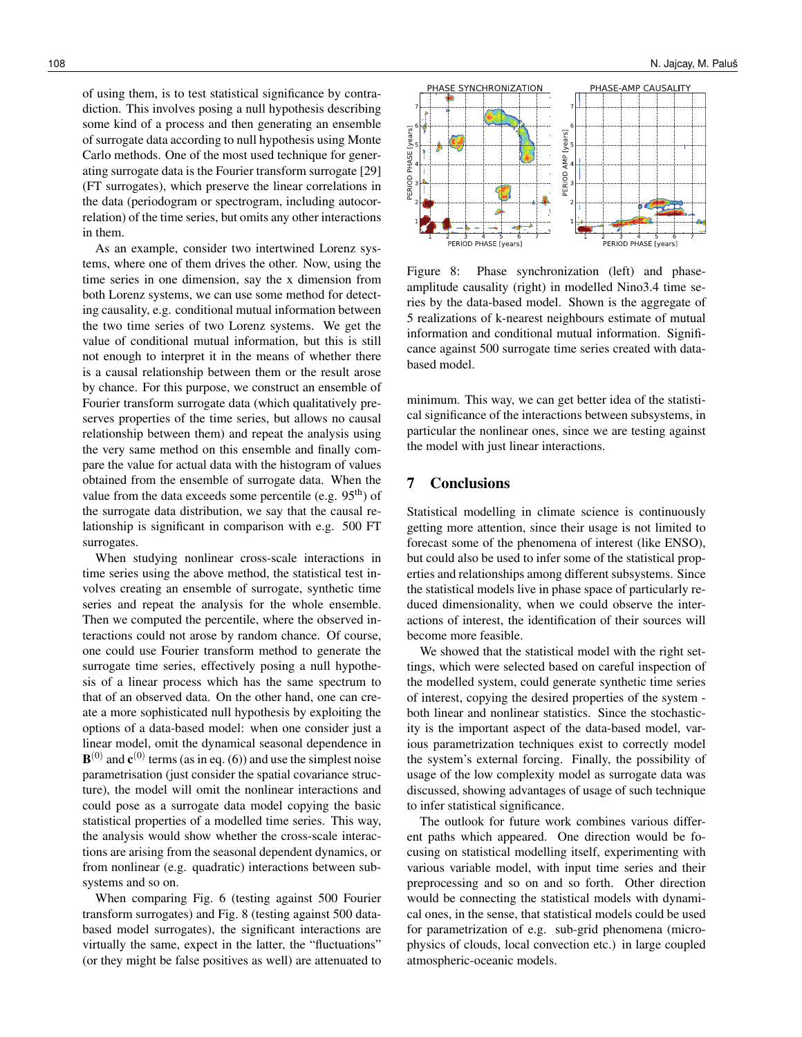of using them, is to test statistical significance by contradiction. This involves posing a null hypothesis describing some kind of a process and then generating an ensemble of surrogate data according to null hypothesis using Monte Carlo methods. One of the most used technique for generating surrogate data is the Fourier transform surrogate [29] (FT surrogates), which preserve the linear correlations in the data (periodogram or spectrogram, including autocorrelation) of the time series, but omits any other interactions in them.

As an example, consider two intertwined Lorenz systems, where one of them drives the other. Now, using the time series in one dimension, say the x dimension from both Lorenz systems, we can use some method for detecting causality, e.g. conditional mutual information between the two time series of two Lorenz systems. We get the value of conditional mutual information, but this is still not enough to interpret it in the means of whether there is a causal relationship between them or the result arose by chance. For this purpose, we construct an ensemble of Fourier transform surrogate data (which qualitatively preserves properties of the time series, but allows no causal relationship between them) and repeat the analysis using the very same method on this ensemble and finally compare the value for actual data with the histogram of values obtained from the ensemble of surrogate data. When the value from the data exceeds some percentile (e.g.  $95<sup>th</sup>$ ) of the surrogate data distribution, we say that the causal relationship is significant in comparison with e.g. 500 FT surrogates.

When studying nonlinear cross-scale interactions in time series using the above method, the statistical test involves creating an ensemble of surrogate, synthetic time series and repeat the analysis for the whole ensemble. Then we computed the percentile, where the observed interactions could not arose by random chance. Of course, one could use Fourier transform method to generate the surrogate time series, effectively posing a null hypothesis of a linear process which has the same spectrum to that of an observed data. On the other hand, one can create a more sophisticated null hypothesis by exploiting the options of a data-based model: when one consider just a linear model, omit the dynamical seasonal dependence in  $\mathbf{B}^{(0)}$  and  $\mathbf{c}^{(0)}$  terms (as in eq. (6)) and use the simplest noise parametrisation (just consider the spatial covariance structure), the model will omit the nonlinear interactions and could pose as a surrogate data model copying the basic statistical properties of a modelled time series. This way, the analysis would show whether the cross-scale interactions are arising from the seasonal dependent dynamics, or from nonlinear (e.g. quadratic) interactions between subsystems and so on.

When comparing Fig. 6 (testing against 500 Fourier transform surrogates) and Fig. 8 (testing against 500 databased model surrogates), the significant interactions are virtually the same, expect in the latter, the "fluctuations" (or they might be false positives as well) are attenuated to



Figure 8: Phase synchronization (left) and phaseamplitude causality (right) in modelled Nino3.4 time series by the data-based model. Shown is the aggregate of 5 realizations of k-nearest neighbours estimate of mutual information and conditional mutual information. Significance against 500 surrogate time series created with databased model.

minimum. This way, we can get better idea of the statistical significance of the interactions between subsystems, in particular the nonlinear ones, since we are testing against the model with just linear interactions.

### 7 Conclusions

Statistical modelling in climate science is continuously getting more attention, since their usage is not limited to forecast some of the phenomena of interest (like ENSO), but could also be used to infer some of the statistical properties and relationships among different subsystems. Since the statistical models live in phase space of particularly reduced dimensionality, when we could observe the interactions of interest, the identification of their sources will become more feasible.

We showed that the statistical model with the right settings, which were selected based on careful inspection of the modelled system, could generate synthetic time series of interest, copying the desired properties of the system both linear and nonlinear statistics. Since the stochasticity is the important aspect of the data-based model, various parametrization techniques exist to correctly model the system's external forcing. Finally, the possibility of usage of the low complexity model as surrogate data was discussed, showing advantages of usage of such technique to infer statistical significance.

The outlook for future work combines various different paths which appeared. One direction would be focusing on statistical modelling itself, experimenting with various variable model, with input time series and their preprocessing and so on and so forth. Other direction would be connecting the statistical models with dynamical ones, in the sense, that statistical models could be used for parametrization of e.g. sub-grid phenomena (microphysics of clouds, local convection etc.) in large coupled atmospheric-oceanic models.